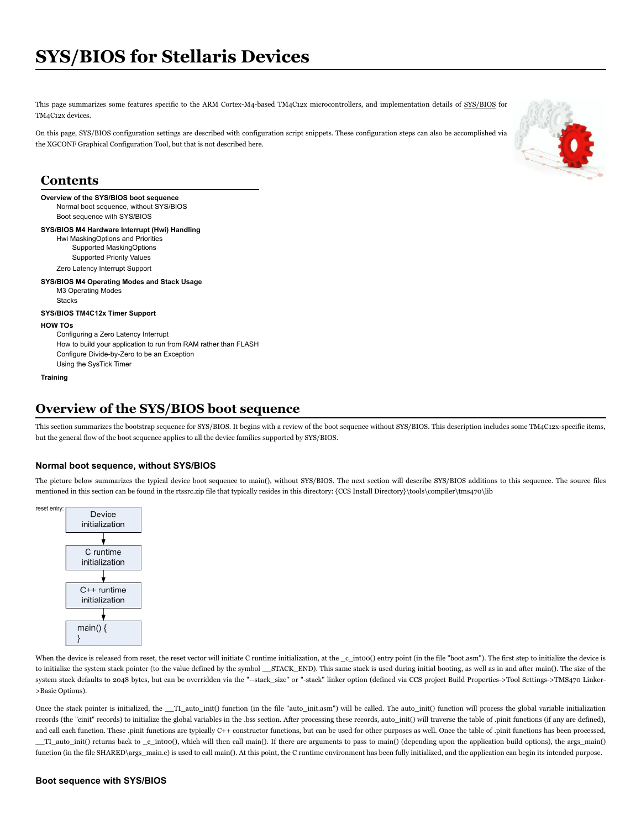This page summarizes some features specific to the ARM Cortex-M4-based TM4C12x microcontrollers, and implementation details of [SYS/BIOS](https://processors.wiki.ti.com/index.php/Category:SYSBIOS) for TM4C12x devices.

On this page, SYS/BIOS configuration settings are described with configuration script snippets. These configuration steps can also be accomplished via the XGCONF Graphical Configuration Tool, but that is not described here.



# **Contents**

| Overview of the SYS/BIOS boot sequence |
|----------------------------------------|
| Normal boot sequence, without SYS/BIOS |
| Boot sequence with SYS/BIOS            |

### **[SYS/BIOS](#page-3-0) M4 Hardware Interrupt (Hwi) Handling**

Hwi [MaskingOptions](#page-3-1) and Priorities Supported [MaskingOptions](#page-4-0)

[Supported](#page-4-1) Priority Values

Zero Latency [Interrupt](#page-4-2) Support

#### **[SYS/BIOS](#page-4-3) M4 Operating Modes and Stack Usage**

M3 [Operating](#page-4-4) Modes

**[Stacks](#page-4-5)** 

#### **[SYS/BIOS](#page-5-0) TM4C12x Timer Support**

#### **[HOW](#page-5-1) TOs**

[Configuring](#page-5-2) a Zero Latency Interrupt

- How to build your [application](#page-5-3) to run from RAM rather than FLASH
- Configure [Divide-by-Zero](#page-5-4) to be an Exception

Using the [SysTick](#page-6-0) Timer

### **[Training](#page-6-1)**

# <span id="page-0-0"></span>**Overview of the SYS/BIOS boot sequence**

This section summarizes the bootstrap sequence for SYS/BIOS. It begins with a review of the boot sequence without SYS/BIOS. This description includes some TM4C12x-specific items, but the general flow of the boot sequence applies to all the device families supported by SYS/BIOS.

## <span id="page-0-1"></span>**Normal boot sequence, without SYS/BIOS**

The picture below summarizes the typical device boot sequence to main(), without SYS/BIOS. The next section will describe SYS/BIOS additions to this sequence. The source files mentioned in this section can be found in the rtssrc.zip file that typically resides in this directory: {CCS Install Directory}\tools\compiler\tms470\lib



When the device is released from reset, the reset vector will initiate C runtime initialization, at the \_c\_intoo() entry point (in the file "boot.asm"). The first step to initialize the device is to initialize the system stack pointer (to the value defined by the symbol \_STACK\_END). This same stack is used during initial booting, as well as in and after main(). The size of the system stack defaults to 2048 bytes, but can be overridden via the "--stack\_size" or "-stack" linker option (defined via CCS project Build Properties->Tool Settings->TMS470 Linker->Basic Options).

Once the stack pointer is initialized, the  $\_TI\_auto\_init()$  function (in the file "auto\_init.asm") will be called. The auto\_init() function will process the global variable initialization records (the "cinit" records) to initialize the global variables in the .bss section. After processing these records, auto\_init() will traverse the table of .pinit functions (if any are defined), and call each function. These .pinit functions are typically C++ constructor functions, but can be used for other purposes as well. Once the table of .pinit functions has been processed, \_\_TI\_auto\_init() returns back to \_c\_int00(), which will then call main(). If there are arguments to pass to main() (depending upon the application build options), the args\_main() function (in the file SHARED\args\_main.c) is used to call main(). At this point, the C runtime environment has been fully initialized, and the application can begin its intended purpose.

## <span id="page-0-2"></span>**Boot sequence with SYS/BIOS**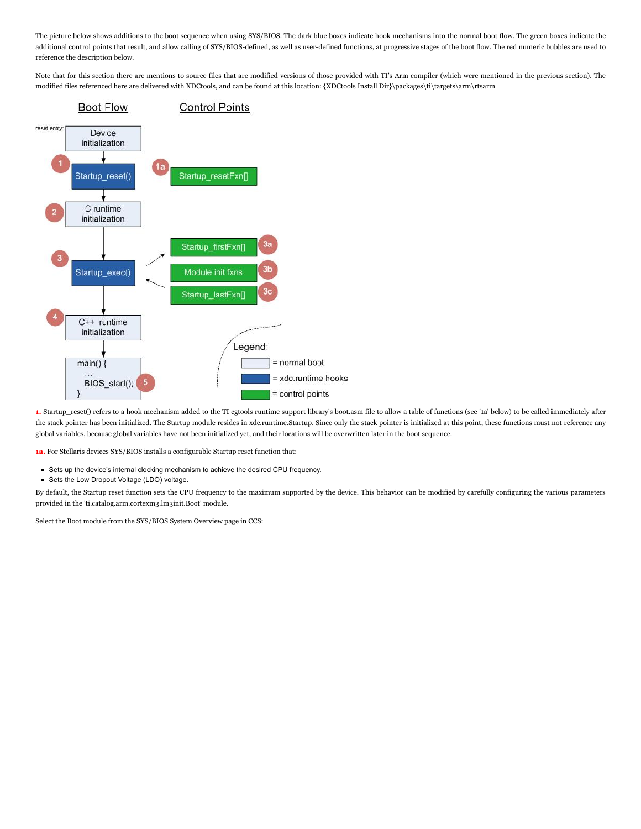The picture below shows additions to the boot sequence when using SYS/BIOS. The dark blue boxes indicate hook mechanisms into the normal boot flow. The green boxes indicate the additional control points that result, and allow calling of SYS/BIOS-defined, as well as user-defined functions, at progressive stages of the boot flow. The red numeric bubbles are used to reference the description below.

Note that for this section there are mentions to source files that are modified versions of those provided with TI's Arm compiler (which were mentioned in the previous section). The modified files referenced here are delivered with XDCtools, and can be found at this location: {XDCtools Install Dir}\packages\ti\targets\arm\rtsarm



**1.** Startup\_reset() refers to a hook mechanism added to the TI cgtools runtime support library's boot.asm file to allow a table of functions (see '1a' below) to be called immediately after the stack pointer has been initialized. The Startup module resides in xdc.runtime.Startup. Since only the stack pointer is initialized at this point, these functions must not reference any global variables, because global variables have not been initialized yet, and their locations will be overwritten later in the boot sequence.

**1a.** For Stellaris devices SYS/BIOS installs a configurable Startup reset function that:

- Sets up the device's internal clocking mechanism to achieve the desired CPU frequency.
- Sets the Low Dropout Voltage (LDO) voltage.

By default, the Startup reset function sets the CPU frequency to the maximum supported by the device. This behavior can be modified by carefully configuring the various parameters provided in the 'ti.catalog.arm.cortexm3.lm3init.Boot' module.

Select the Boot module from the SYS/BIOS System Overview page in CCS: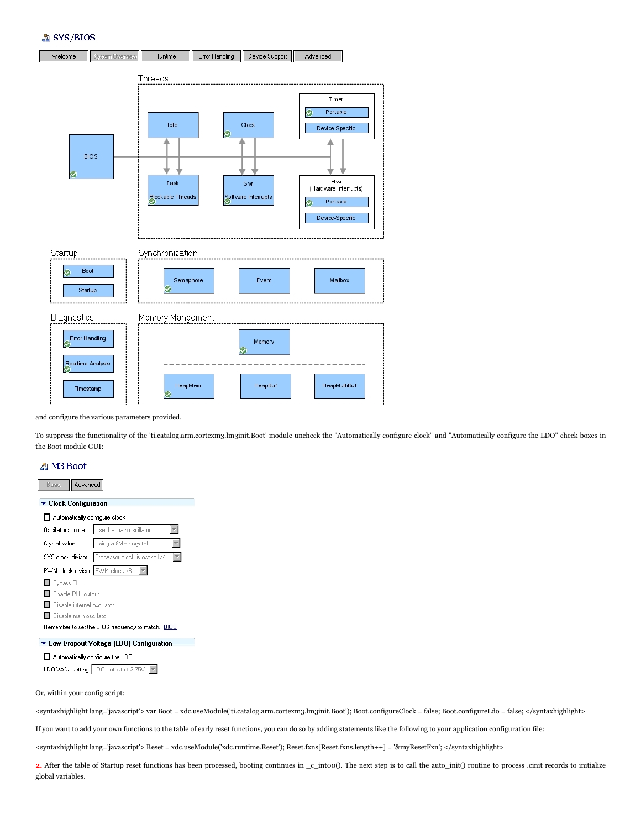

and configure the various parameters provided.

To suppress the functionality of the 'ti.catalog.arm.cortexm3.lm3init.Boot' module uncheck the "Automatically configure clock" and "Automatically configure the LDO" check boxes in the Boot module GUI:

## 晶 M3 Boot

| Advanced<br>Basic                                 |                               |  |  |  |  |  |  |
|---------------------------------------------------|-------------------------------|--|--|--|--|--|--|
| $\blacktriangleright$ Clock Configuration         |                               |  |  |  |  |  |  |
| Automatically configure clock                     |                               |  |  |  |  |  |  |
| Oscillator source                                 | Use the main oscillator       |  |  |  |  |  |  |
| Crystal value                                     | Using a 8MHz crystal          |  |  |  |  |  |  |
| SYS clock divisor                                 | Processor clock is osc/pll /4 |  |  |  |  |  |  |
| PWM clock divisor PWM clock /8                    |                               |  |  |  |  |  |  |
| Bypass PLL                                        |                               |  |  |  |  |  |  |
| Enable PLL output                                 |                               |  |  |  |  |  |  |
| $\blacksquare$ Disable internal oscillator        |                               |  |  |  |  |  |  |
| ■ Disable main oscillator                         |                               |  |  |  |  |  |  |
| Remember to set the BIOS frequency to match. BIOS |                               |  |  |  |  |  |  |
| ▼ Low Dropout Voltage (LDO) Configuration         |                               |  |  |  |  |  |  |
| ■ Automatically configure the LDO                 |                               |  |  |  |  |  |  |

LDO VADJ setting LDO output of 2.75V |

Or, within your config script:

<syntaxhighlight lang='javascript'> var Boot = xdc.useModule('ti.catalog.arm.cortexm3.lm3init.Boot'); Boot.configureClock = false; Boot.configureLdo = false; </syntaxhighlight>

If you want to add your own functions to the table of early reset functions, you can do so by adding statements like the following to your application configuration file:

<syntaxhighlight lang='javascript'> Reset = xdc.useModule('xdc.runtime.Reset'); Reset.fxns[Reset.fxns.length++] = '&myResetFxn'; </syntaxhighlight>

2. After the table of Startup reset functions has been processed, booting continues in \_c\_int00(). The next step is to call the auto\_init() routine to process .cinit records to initialize global variables.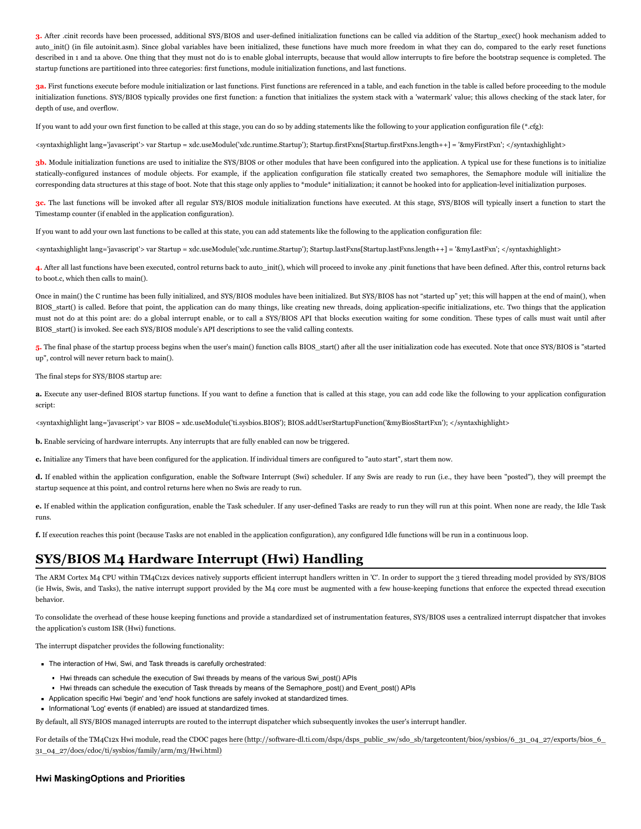**3.** After .cinit records have been processed, additional SYS/BIOS and user-defined initialization functions can be called via addition of the Startup\_exec() hook mechanism added to auto\_init() (in file autoinit.asm). Since global variables have been initialized, these functions have much more freedom in what they can do, compared to the early reset functions described in 1 and 1a above. One thing that they must not do is to enable global interrupts, because that would allow interrupts to fire before the bootstrap sequence is completed. The startup functions are partitioned into three categories: first functions, module initialization functions, and last functions.

**3a.** First functions execute before module initialization or last functions. First functions are referenced in a table, and each function in the table is called before proceeding to the module initialization functions. SYS/BIOS typically provides one first function: a function that initializes the system stack with a 'watermark' value; this allows checking of the stack later, for depth of use, and overflow.

If you want to add your own first function to be called at this stage, you can do so by adding statements like the following to your application configuration file (\*.cfg):

<syntaxhighlight lang='javascript'> var Startup = xdc.useModule('xdc.runtime.Startup'); Startup.firstFxns[Startup.firstFxns.length++] = '&myFirstFxn'; </syntaxhighlight>

3b. Module initialization functions are used to initialize the SYS/BIOS or other modules that have been configured into the application. A typical use for these functions is to initialize statically-configured instances of module objects. For example, if the application configuration file statically created two semaphores, the Semaphore module will initialize the corresponding data structures at this stage of boot. Note that this stage only applies to \*module\* initialization; it cannot be hooked into for application-level initialization purposes.

**3c.** The last functions will be invoked after all regular SYS/BIOS module initialization functions have executed. At this stage, SYS/BIOS will typically insert a function to start the Timestamp counter (if enabled in the application configuration).

If you want to add your own last functions to be called at this state, you can add statements like the following to the application configuration file:

<syntaxhighlight lang='javascript'> var Startup = xdc.useModule('xdc.runtime.Startup'); Startup.lastFxns[Startup.lastFxns.length++] = '&myLastFxn'; </syntaxhighlight>

**4.** After all last functions have been executed, control returns back to auto\_init(), which will proceed to invoke any .pinit functions that have been defined. After this, control returns back to boot.c, which then calls to main().

Once in main() the C runtime has been fully initialized, and SYS/BIOS modules have been initialized. But SYS/BIOS has not "started up" yet; this will happen at the end of main(), when BIOS\_start() is called. Before that point, the application can do many things, like creating new threads, doing application-specific initializations, etc. Two things that the application must not do at this point are: do a global interrupt enable, or to call a SYS/BIOS API that blocks execution waiting for some condition. These types of calls must wait until after BIOS\_start() is invoked. See each SYS/BIOS module's API descriptions to see the valid calling contexts.

5. The final phase of the startup process begins when the user's main() function calls BIOS\_start() after all the user initialization code has executed. Note that once SYS/BIOS is "started up", control will never return back to main().

The final steps for SYS/BIOS startup are:

**a.** Execute any user-defined BIOS startup functions. If you want to define a function that is called at this stage, you can add code like the following to your application configuration script:

<syntaxhighlight lang='javascript'> var BIOS = xdc.useModule('ti.sysbios.BIOS'); BIOS.addUserStartupFunction('&myBiosStartFxn'); </syntaxhighlight>

**b.** Enable servicing of hardware interrupts. Any interrupts that are fully enabled can now be triggered.

**c.** Initialize any Timers that have been configured for the application. If individual timers are configured to "auto start", start them now.

**d.** If enabled within the application configuration, enable the Software Interrupt (Swi) scheduler. If any Swis are ready to run (i.e., they have been "posted"), they will preempt the startup sequence at this point, and control returns here when no Swis are ready to run.

**e.** If enabled within the application configuration, enable the Task scheduler. If any user-defined Tasks are ready to run they will run at this point. When none are ready, the Idle Task runs.

**f.** If execution reaches this point (because Tasks are not enabled in the application configuration), any configured Idle functions will be run in a continuous loop.

# <span id="page-3-0"></span>**SYS/BIOS M4 Hardware Interrupt (Hwi) Handling**

The ARM Cortex M4 CPU within TM4C12x devices natively supports efficient interrupt handlers written in 'C'. In order to support the 3 tiered threading model provided by SYS/BIOS (ie Hwis, Swis, and Tasks), the native interrupt support provided by the M4 core must be augmented with a few house-keeping functions that enforce the expected thread execution behavior.

To consolidate the overhead of these house keeping functions and provide a standardized set of instrumentation features, SYS/BIOS uses a centralized interrupt dispatcher that invokes the application's custom ISR (Hwi) functions.

The interrupt dispatcher provides the following functionality:

- The interaction of Hwi, Swi, and Task threads is carefully orchestrated:
	- Hwi threads can schedule the execution of Swi threads by means of the various Swi\_post() APIs
	- Hwi threads can schedule the execution of Task threads by means of the Semaphore post() and Event post() APIs
- Application specific Hwi 'begin' and 'end' hook functions are safely invoked at standardized times.
- Informational 'Log' events (if enabled) are issued at standardized times.

By default, all SYS/BIOS managed interrupts are routed to the interrupt dispatcher which subsequently invokes the user's interrupt handler.

For details of the TM4C12x Hwi module, read the CDOC pages here [\(http://software-dl.ti.com/dsps/dsps\\_public\\_sw/sdo\\_sb/targetcontent/bios/sysbios/6\\_31\\_04\\_27/exports/bios\\_6\\_](http://software-dl.ti.com/dsps/dsps_public_sw/sdo_sb/targetcontent/bios/sysbios/6_31_04_27/exports/bios_6_31_04_27/docs/cdoc/ti/sysbios/family/arm/m3/Hwi.html) 31\_04\_27/docs/cdoc/ti/sysbios/family/arm/m3/Hwi.html)

#### <span id="page-3-1"></span>**Hwi MaskingOptions and Priorities**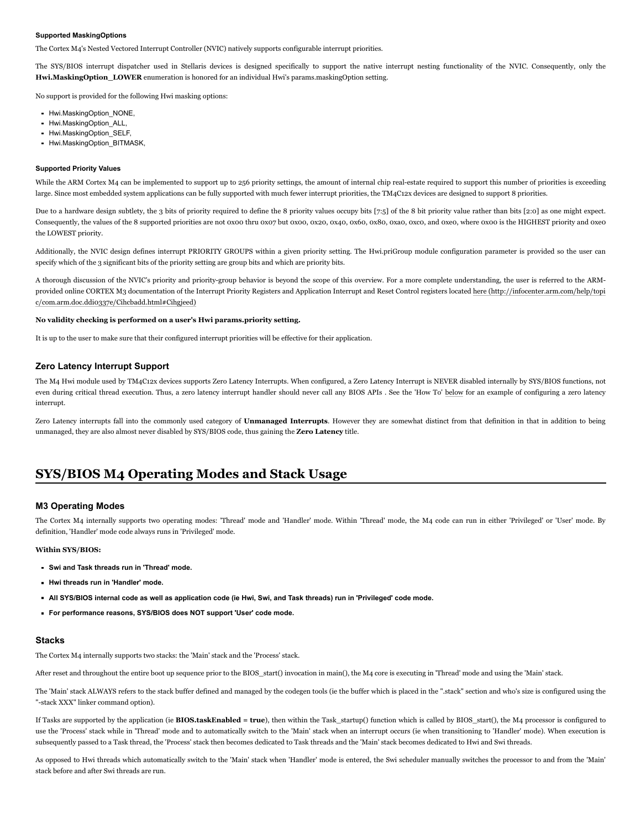#### <span id="page-4-0"></span>**Supported MaskingOptions**

The Cortex M4's Nested Vectored Interrupt Controller (NVIC) natively supports configurable interrupt priorities.

The SYS/BIOS interrupt dispatcher used in Stellaris devices is designed specifically to support the native interrupt nesting functionality of the NVIC. Consequently, only the **Hwi.MaskingOption\_LOWER** enumeration is honored for an individual Hwi's params.maskingOption setting.

No support is provided for the following Hwi masking options:

- Hwi.MaskingOption\_NONE,
- Hwi.MaskingOption\_ALL,
- Hwi.MaskingOption\_SELF,
- Hwi.MaskingOption\_BITMASK,

#### <span id="page-4-1"></span>**Supported Priority Values**

While the ARM Cortex M4 can be implemented to support up to 256 priority settings, the amount of internal chip real-estate required to support this number of priorities is exceeding large. Since most embedded system applications can be fully supported with much fewer interrupt priorities, the TM4C12x devices are designed to support 8 priorities.

Due to a hardware design subtlety, the 3 bits of priority required to define the 8 priority values occupy bits [7:5] of the 8 bit priority value rather than bits [2:0] as one might expect. Consequently, the values of the 8 supported priorities are not 0x00 thru 0x07 but 0x00, 0x20, 0x40, 0x60, 0x80, 0xa0, 0xc0, and 0xe0, where 0x00 is the HIGHEST priority and 0xe0 the LOWEST priority.

Additionally, the NVIC design defines interrupt PRIORITY GROUPS within a given priority setting. The Hwi.priGroup module configuration parameter is provided so the user can specify which of the 3 significant bits of the priority setting are group bits and which are priority bits.

A thorough discussion of the NVIC's priority and priority-group behavior is beyond the scope of this overview. For a more complete understanding, the user is referred to the ARMprovided online CORTEX M3 documentation of the Interrupt Priority Registers and Application Interrupt and Reset Control registers located here (http://infocenter.arm.com/help/topi [c/com.arm.doc.ddi0337e/Cihcbadd.html#Cihgjeed\)](http://infocenter.arm.com/help/topic/com.arm.doc.ddi0337e/Cihcbadd.html#Cihgjeed)

#### **No validity checking is performed on a user's Hwi params.priority setting.**

It is up to the user to make sure that their configured interrupt priorities will be effective for their application.

## <span id="page-4-2"></span>**Zero Latency Interrupt Support**

The M4 Hwi module used by TM4C12x devices supports Zero Latency Interrupts. When configured, a Zero Latency Interrupt is NEVER disabled internally by SYS/BIOS functions, not even during critical thread execution. Thus, a zero latency interrupt handler should never call any BIOS APIs . See the 'How To' [below](#page-5-5) for an example of configuring a zero latency interrupt.

Zero Latency interrupts fall into the commonly used category of **Unmanaged Interrupts**. However they are somewhat distinct from that definition in that in addition to being unmanaged, they are also almost never disabled by SYS/BIOS code, thus gaining the **Zero Latency** title.

# <span id="page-4-3"></span>**SYS/BIOS M4 Operating Modes and Stack Usage**

#### <span id="page-4-4"></span>**M3 Operating Modes**

The Cortex M4 internally supports two operating modes: 'Thread' mode and 'Handler' mode. Within 'Thread' mode, the M4 code can run in either 'Privileged' or 'User' mode. By definition, 'Handler' mode code always runs in 'Privileged' mode.

#### **Within SYS/BIOS:**

- **Swi and Task threads run in 'Thread' mode.**
- **Hwi threads run in 'Handler' mode.**
- All SYS/BIOS internal code as well as application code (ie Hwi, Swi, and Task threads) run in 'Privileged' code mode.
- **For performance reasons, SYS/BIOS does NOT support 'User' code mode.**

#### <span id="page-4-5"></span>**Stacks**

The Cortex M4 internally supports two stacks: the 'Main' stack and the 'Process' stack.

After reset and throughout the entire boot up sequence prior to the BIOS\_start() invocation in main(), the M4 core is executing in 'Thread' mode and using the 'Main' stack.

The 'Main' stack ALWAYS refers to the stack buffer defined and managed by the codegen tools (ie the buffer which is placed in the ".stack" section and who's size is configured using the "-stack XXX" linker command option).

If Tasks are supported by the application (ie **BIOS.taskEnabled = true**), then within the Task\_startup() function which is called by BIOS\_start(), the M4 processor is configured to use the 'Process' stack while in 'Thread' mode and to automatically switch to the 'Main' stack when an interrupt occurs (ie when transitioning to 'Handler' mode). When execution is subsequently passed to a Task thread, the 'Process' stack then becomes dedicated to Task threads and the 'Main' stack becomes dedicated to Hwi and Swi threads.

As opposed to Hwi threads which automatically switch to the 'Main' stack when 'Handler' mode is entered, the Swi scheduler manually switches the processor to and from the 'Main' stack before and after Swi threads are run.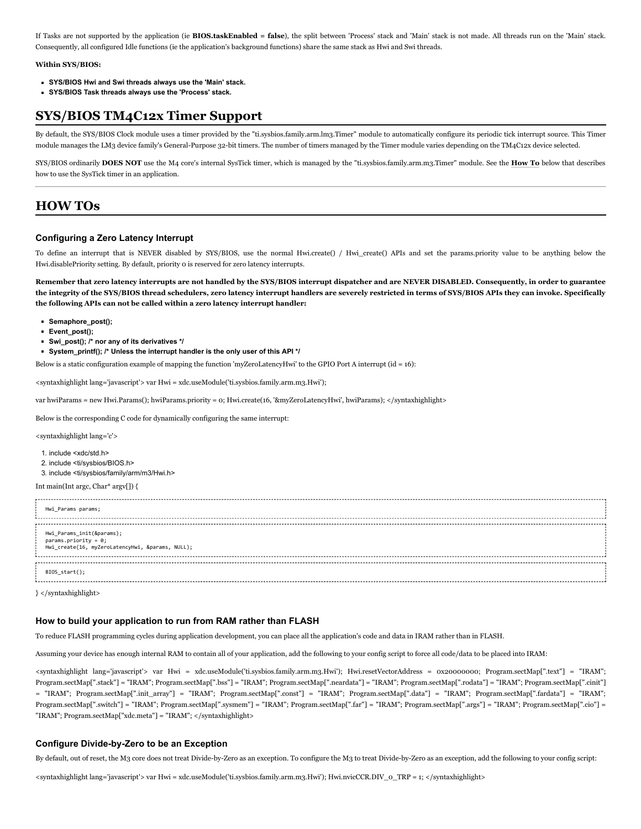If Tasks are not supported by the application (ie **BIOS.taskEnabled = false**), the split between 'Process' stack and 'Main' stack is not made. All threads run on the 'Main' stack. Consequently, all configured Idle functions (ie the application's background functions) share the same stack as Hwi and Swi threads.

#### **Within SYS/BIOS:**

- **SYS/BIOS Hwi and Swi threads always use the 'Main' stack.**
- **SYS/BIOS Task threads always use the 'Process' stack.**

# <span id="page-5-0"></span>**SYS/BIOS TM4C12x Timer Support**

By default, the SYS/BIOS Clock module uses a timer provided by the "ti.sysbios.family.arm.lm3.Timer" module to automatically configure its periodic tick interrupt source. This Timer module manages the LM3 device family's General-Purpose 32-bit timers. The number of timers managed by the Timer module varies depending on the TM4C12x device selected.

SYS/BIOS ordinarily **DOES NOT** use the M4 core's internal SysTick timer, which is managed by the "ti.sysbios.family.arm.m3.Timer" module. See the **[How](#page-5-6) To** below that describes how to use the SysTick timer in an application.

## <span id="page-5-1"></span>**HOW TOs**

#### <span id="page-5-5"></span><span id="page-5-2"></span>**Configuring a Zero Latency Interrupt**

To define an interrupt that is NEVER disabled by SYS/BIOS, use the normal Hwi.create() / Hwi\_create() APIs and set the params.priority value to be anything below the Hwi.disablePriority setting. By default, priority 0 is reserved for zero latency interrupts.

Remember that zero latency interrupts are not handled by the SYS/BIOS interrupt dispatcher and are NEVER DISABLED. Consequently, in order to guarantee the integrity of the SYS/BIOS thread schedulers, zero latency interrupt handlers are severely restricted in terms of SYS/BIOS APIs they can invoke. Specifically **the following APIs can not be called within a zero latency interrupt handler:**

- **Semaphore\_post();**
- **Event\_post();**
- **Swi\_post(); /\* nor any of its derivatives \*/**
- **System\_printf(); /\* Unless the interrupt handler is the only user of this API \*/**

Below is a static configuration example of mapping the function 'myZeroLatencyHwi' to the GPIO Port A interrupt ( $id = 16$ ):

<syntaxhighlight lang='javascript'> var Hwi = xdc.useModule('ti.sysbios.family.arm.m3.Hwi');

var hwiParams = new Hwi.Params(); hwiParams.priority = 0; Hwi.create(16, '&myZeroLatencyHwi', hwiParams); </syntaxhighlight>

Below is the corresponding C code for dynamically configuring the same interrupt:

<syntaxhighlight lang='c'>

- 1. include <xdc/std.h>
- 2. include <ti/sysbios/BIOS.h>
- 3. include <ti/sysbios/family/arm/m3/Hwi.h>

### Int main(Int argc, Char\* argv[]) {

| Hwi_Params params;                                                                                        |
|-----------------------------------------------------------------------------------------------------------|
| Hwi_Params_init(&params);<br>  params.priority = 0;<br>  Hwi_create(16, myZeroLatencyHwi, &params, NULL); |
| BIOS_start();                                                                                             |

} </syntaxhighlight>

## <span id="page-5-3"></span>**How to build your application to run from RAM rather than FLASH**

To reduce FLASH programming cycles during application development, you can place all the application's code and data in IRAM rather than in FLASH.

Assuming your device has enough internal RAM to contain all of your application, add the following to your config script to force all code/data to be placed into IRAM:

<syntaxhighlight lang='javascript'> var Hwi = xdc.useModule('ti.sysbios.family.arm.m3.Hwi'); Hwi.resetVectorAddress = 0x20000000; Program.sectMap[".text"] = "IRAM"; Program.sectMap[".stack"] = "IRAM"; Program.sectMap[".bss"] = "IRAM"; Program.sectMap[".neardata"] = "IRAM"; Program.sectMap[".rodata"] = "IRAM"; Program.sectMap[".cinit"] = "IRAM"; Program.sectMap[".init\_array"] = "IRAM"; Program.sectMap[".const"] = "IRAM"; Program.sectMap[".data"] = "IRAM"; Program.sectMap[".fardata"] = "IRAM"; Program.sectMap[".switch"] = "IRAM"; Program.sectMap[".sysmem"] = "IRAM"; Program.sectMap[".far"] = "IRAM"; Program.sectMap[".args"] = "IRAM"; Program.sectMap[".cio"] = "IRAM"; Program.sectMap["xdc.meta"] = "IRAM"; </syntaxhighlight>

## <span id="page-5-4"></span>**Configure Divide-by-Zero to be an Exception**

By default, out of reset, the M3 core does not treat Divide-by-Zero as an exception. To configure the M3 to treat Divide-by-Zero as an exception, add the following to your config script:

<span id="page-5-6"></span><syntaxhighlight lang='javascript'> var Hwi = xdc.useModule('ti.sysbios.family.arm.m3.Hwi'); Hwi.nvicCCR.DIV\_0\_TRP = 1; </syntaxhighlight>